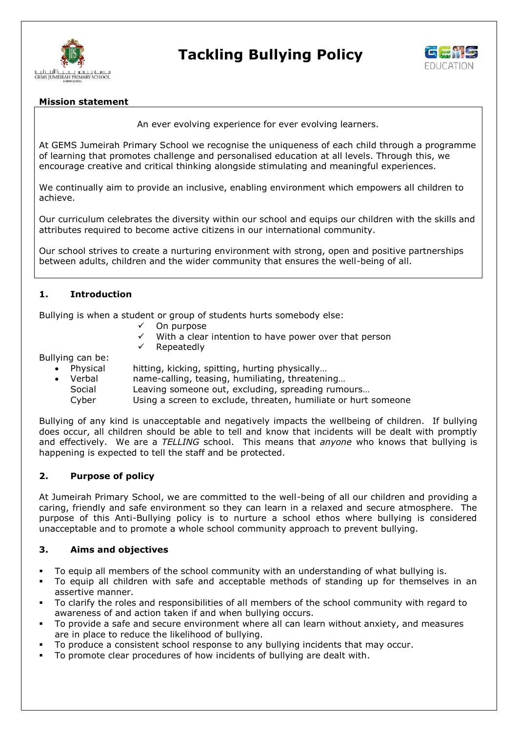

# **Tackling Bullying Policy**



#### **Mission statement**

An ever evolving experience for ever evolving learners.

At GEMS Jumeirah Primary School we recognise the uniqueness of each child through a programme of learning that promotes challenge and personalised education at all levels. Through this, we encourage creative and critical thinking alongside stimulating and meaningful experiences.

We continually aim to provide an inclusive, enabling environment which empowers all children to achieve.

Our curriculum celebrates the diversity within our school and equips our children with the skills and attributes required to become active citizens in our international community.

Our school strives to create a nurturing environment with strong, open and positive partnerships between adults, children and the wider community that ensures the well-being of all.

## **1. Introduction**

Bullying is when a student or group of students hurts somebody else:

- On purpose
- With a clear intention to have power over that person
- Repeatedly

Bullying can be:

- Physical hitting, kicking, spitting, hurting physically…
- Verbal name-calling, teasing, humiliating, threatening…
	- Social Leaving someone out, excluding, spreading rumours...
	- Cyber Using a screen to exclude, threaten, humiliate or hurt someone

Bullying of any kind is unacceptable and negatively impacts the wellbeing of children. If bullying does occur, all children should be able to tell and know that incidents will be dealt with promptly and effectively. We are a *TELLING* school. This means that *anyone* who knows that bullying is happening is expected to tell the staff and be protected.

#### **2. Purpose of policy**

At Jumeirah Primary School, we are committed to the well-being of all our children and providing a caring, friendly and safe environment so they can learn in a relaxed and secure atmosphere. The purpose of this Anti-Bullying policy is to nurture a school ethos where bullying is considered unacceptable and to promote a whole school community approach to prevent bullying.

#### **3. Aims and objectives**

- To equip all members of the school community with an understanding of what bullying is.
- To equip all children with safe and acceptable methods of standing up for themselves in an assertive manner.
- To clarify the roles and responsibilities of all members of the school community with regard to awareness of and action taken if and when bullying occurs.
- To provide a safe and secure environment where all can learn without anxiety, and measures are in place to reduce the likelihood of bullying.
- To produce a consistent school response to any bullying incidents that may occur.
- To promote clear procedures of how incidents of bullying are dealt with.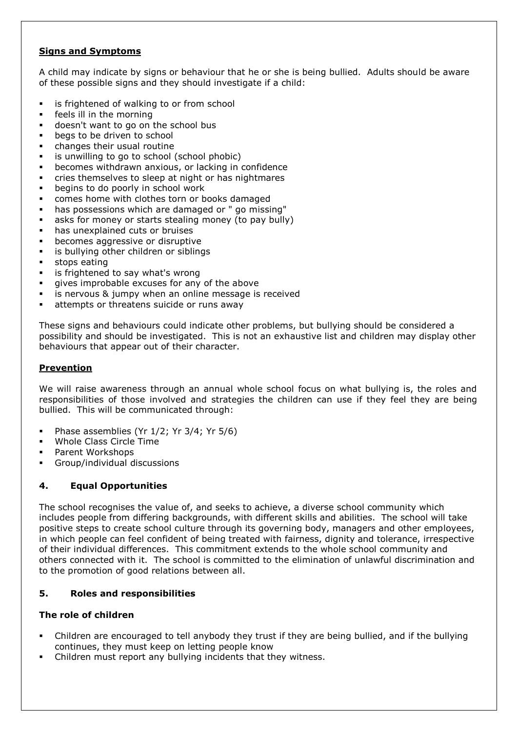# **Signs and Symptoms**

A child may indicate by signs or behaviour that he or she is being bullied. Adults should be aware of these possible signs and they should investigate if a child:

- **EXEC** is frightened of walking to or from school
- feels ill in the morning
- doesn't want to go on the school bus
- **begs to be driven to school**
- changes their usual routine
- is unwilling to go to school (school phobic)
- becomes withdrawn anxious, or lacking in confidence
- cries themselves to sleep at night or has nightmares
- begins to do poorly in school work
- comes home with clothes torn or books damaged
- has possessions which are damaged or " go missing"
- asks for money or starts stealing money (to pay bully)
- has unexplained cuts or bruises
- **•** becomes aggressive or disruptive
- **i** is bullying other children or siblings
- **stops eating**
- **EXEC** is frightened to say what's wrong
- gives improbable excuses for any of the above
- is nervous & jumpy when an online message is received
- attempts or threatens suicide or runs away

These signs and behaviours could indicate other problems, but bullying should be considered a possibility and should be investigated. This is not an exhaustive list and children may display other behaviours that appear out of their character.

## **Prevention**

We will raise awareness through an annual whole school focus on what bullying is, the roles and responsibilities of those involved and strategies the children can use if they feel they are being bullied. This will be communicated through:

- Phase assemblies (Yr  $1/2$ ; Yr  $3/4$ ; Yr  $5/6$ )
- Whole Class Circle Time
- Parent Workshops
- Group/individual discussions

## **4. Equal Opportunities**

The school recognises the value of, and seeks to achieve, a diverse school community which includes people from differing backgrounds, with different skills and abilities. The school will take positive steps to create school culture through its governing body, managers and other employees, in which people can feel confident of being treated with fairness, dignity and tolerance, irrespective of their individual differences. This commitment extends to the whole school community and others connected with it. The school is committed to the elimination of unlawful discrimination and to the promotion of good relations between all.

## **5. Roles and responsibilities**

## **The role of children**

- Children are encouraged to tell anybody they trust if they are being bullied, and if the bullying continues, they must keep on letting people know
- Children must report any bullying incidents that they witness.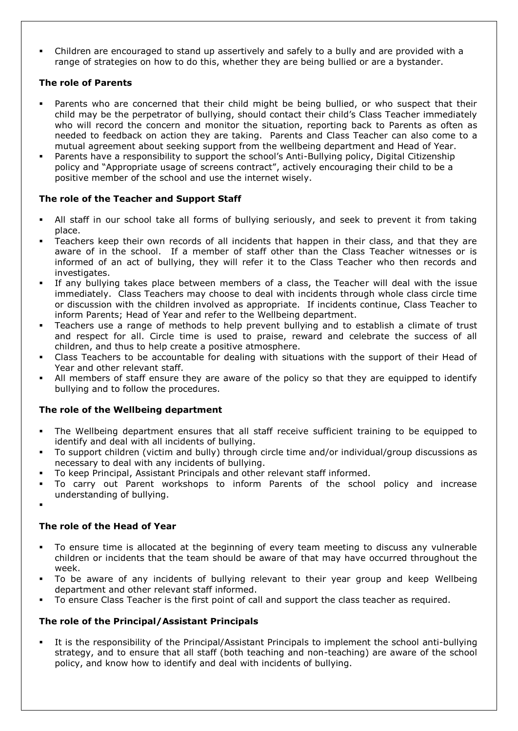Children are encouraged to stand up assertively and safely to a bully and are provided with a range of strategies on how to do this, whether they are being bullied or are a bystander.

## **The role of Parents**

- Parents who are concerned that their child might be being bullied, or who suspect that their child may be the perpetrator of bullying, should contact their child's Class Teacher immediately who will record the concern and monitor the situation, reporting back to Parents as often as needed to feedback on action they are taking. Parents and Class Teacher can also come to a mutual agreement about seeking support from the wellbeing department and Head of Year.
- Parents have a responsibility to support the school's Anti-Bullying policy, Digital Citizenship policy and "Appropriate usage of screens contract", actively encouraging their child to be a positive member of the school and use the internet wisely.

## **The role of the Teacher and Support Staff**

- All staff in our school take all forms of bullying seriously, and seek to prevent it from taking place.
- Teachers keep their own records of all incidents that happen in their class, and that they are aware of in the school. If a member of staff other than the Class Teacher witnesses or is informed of an act of bullying, they will refer it to the Class Teacher who then records and investigates.
- If any bullying takes place between members of a class, the Teacher will deal with the issue immediately. Class Teachers may choose to deal with incidents through whole class circle time or discussion with the children involved as appropriate. If incidents continue, Class Teacher to inform Parents; Head of Year and refer to the Wellbeing department.
- Teachers use a range of methods to help prevent bullying and to establish a climate of trust and respect for all. Circle time is used to praise, reward and celebrate the success of all children, and thus to help create a positive atmosphere.
- Class Teachers to be accountable for dealing with situations with the support of their Head of Year and other relevant staff.
- All members of staff ensure they are aware of the policy so that they are equipped to identify bullying and to follow the procedures.

## **The role of the Wellbeing department**

- The Wellbeing department ensures that all staff receive sufficient training to be equipped to identify and deal with all incidents of bullying.
- To support children (victim and bully) through circle time and/or individual/group discussions as necessary to deal with any incidents of bullying.
- To keep Principal, Assistant Principals and other relevant staff informed.
- To carry out Parent workshops to inform Parents of the school policy and increase understanding of bullying.
- .

## **The role of the Head of Year**

- To ensure time is allocated at the beginning of every team meeting to discuss any vulnerable children or incidents that the team should be aware of that may have occurred throughout the week.
- To be aware of any incidents of bullying relevant to their year group and keep Wellbeing department and other relevant staff informed.
- To ensure Class Teacher is the first point of call and support the class teacher as required.

# **The role of the Principal/Assistant Principals**

 It is the responsibility of the Principal/Assistant Principals to implement the school anti-bullying strategy, and to ensure that all staff (both teaching and non-teaching) are aware of the school policy, and know how to identify and deal with incidents of bullying.